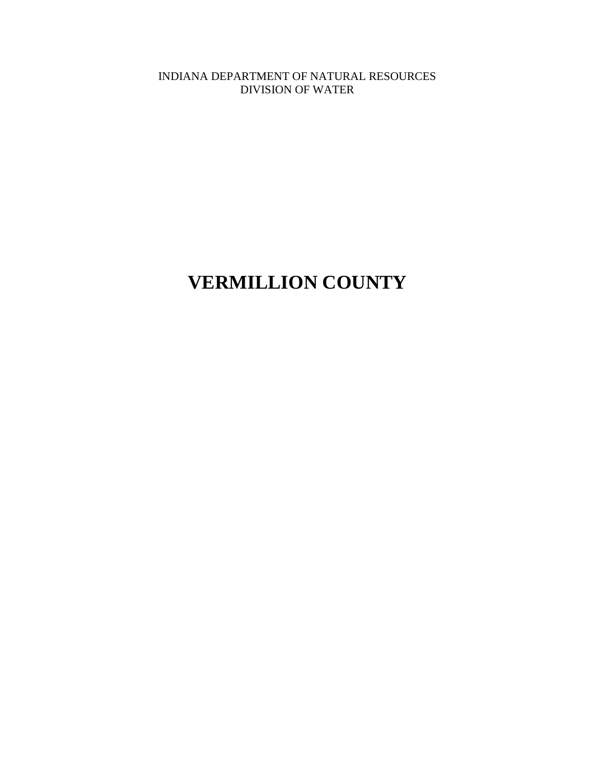INDIANA DEPARTMENT OF NATURAL RESOURCES DIVISION OF WATER

# **VERMILLION COUNTY**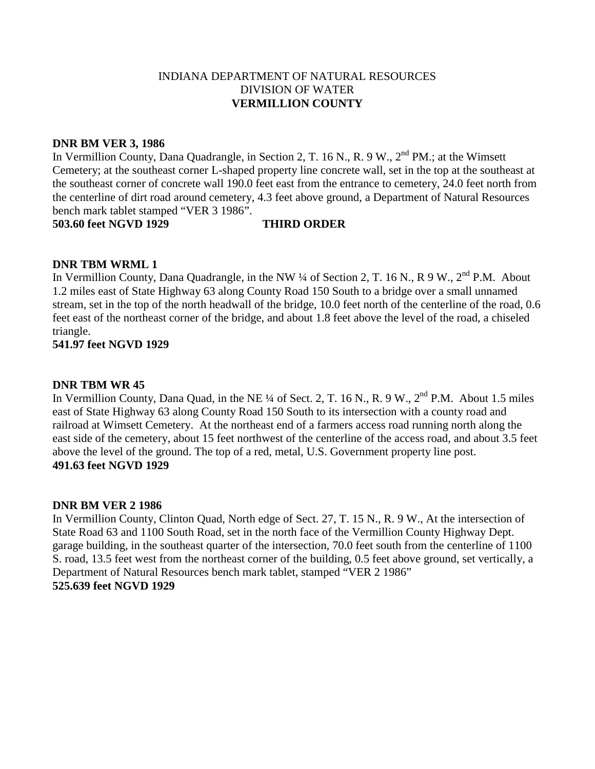### **DNR BM VER 3, 1986**

In Vermillion County, Dana Quadrangle, in Section 2, T. 16 N., R. 9 W., 2<sup>nd</sup> PM.; at the Wimsett Cemetery; at the southeast corner L-shaped property line concrete wall, set in the top at the southeast at the southeast corner of concrete wall 190.0 feet east from the entrance to cemetery, 24.0 feet north from the centerline of dirt road around cemetery, 4.3 feet above ground, a Department of Natural Resources bench mark tablet stamped "VER 3 1986".

**503.60 feet NGVD 1929 THIRD ORDER**

# **DNR TBM WRML 1**

In Vermillion County, Dana Quadrangle, in the NW ¼ of Section 2, T. 16 N., R 9 W., 2<sup>nd</sup> P.M. About 1.2 miles east of State Highway 63 along County Road 150 South to a bridge over a small unnamed stream, set in the top of the north headwall of the bridge, 10.0 feet north of the centerline of the road, 0.6 feet east of the northeast corner of the bridge, and about 1.8 feet above the level of the road, a chiseled triangle.

# **541.97 feet NGVD 1929**

# **DNR TBM WR 45**

In Vermillion County, Dana Quad, in the NE ¼ of Sect. 2, T. 16 N., R. 9 W., 2<sup>nd</sup> P.M. About 1.5 miles east of State Highway 63 along County Road 150 South to its intersection with a county road and railroad at Wimsett Cemetery. At the northeast end of a farmers access road running north along the east side of the cemetery, about 15 feet northwest of the centerline of the access road, and about 3.5 feet above the level of the ground. The top of a red, metal, U.S. Government property line post. **491.63 feet NGVD 1929**

### **DNR BM VER 2 1986**

In Vermillion County, Clinton Quad, North edge of Sect. 27, T. 15 N., R. 9 W., At the intersection of State Road 63 and 1100 South Road, set in the north face of the Vermillion County Highway Dept. garage building, in the southeast quarter of the intersection, 70.0 feet south from the centerline of 1100 S. road, 13.5 feet west from the northeast corner of the building, 0.5 feet above ground, set vertically, a Department of Natural Resources bench mark tablet, stamped "VER 2 1986" **525.639 feet NGVD 1929**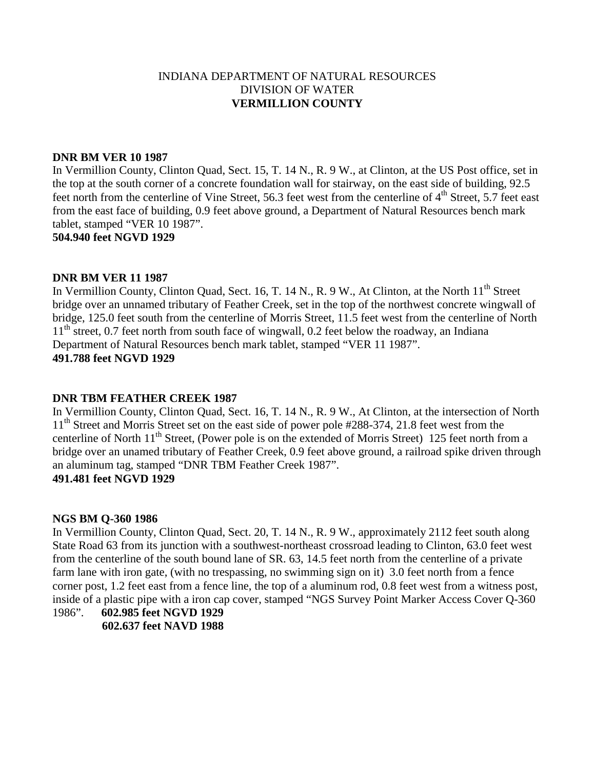#### **DNR BM VER 10 1987**

In Vermillion County, Clinton Quad, Sect. 15, T. 14 N., R. 9 W., at Clinton, at the US Post office, set in the top at the south corner of a concrete foundation wall for stairway, on the east side of building, 92.5 feet north from the centerline of Vine Street, 56.3 feet west from the centerline of  $4<sup>th</sup>$  Street, 5.7 feet east from the east face of building, 0.9 feet above ground, a Department of Natural Resources bench mark tablet, stamped "VER 10 1987".

**504.940 feet NGVD 1929**

#### **DNR BM VER 11 1987**

In Vermillion County, Clinton Quad, Sect. 16, T. 14 N., R. 9 W., At Clinton, at the North 11<sup>th</sup> Street bridge over an unnamed tributary of Feather Creek, set in the top of the northwest concrete wingwall of bridge, 125.0 feet south from the centerline of Morris Street, 11.5 feet west from the centerline of North 11<sup>th</sup> street, 0.7 feet north from south face of wingwall, 0.2 feet below the roadway, an Indiana Department of Natural Resources bench mark tablet, stamped "VER 11 1987". **491.788 feet NGVD 1929**

### **DNR TBM FEATHER CREEK 1987**

In Vermillion County, Clinton Quad, Sect. 16, T. 14 N., R. 9 W., At Clinton, at the intersection of North 11<sup>th</sup> Street and Morris Street set on the east side of power pole #288-374, 21.8 feet west from the centerline of North 11<sup>th</sup> Street, (Power pole is on the extended of Morris Street) 125 feet north from a bridge over an unamed tributary of Feather Creek, 0.9 feet above ground, a railroad spike driven through an aluminum tag, stamped "DNR TBM Feather Creek 1987".

# **491.481 feet NGVD 1929**

#### **NGS BM Q-360 1986**

In Vermillion County, Clinton Quad, Sect. 20, T. 14 N., R. 9 W., approximately 2112 feet south along State Road 63 from its junction with a southwest-northeast crossroad leading to Clinton, 63.0 feet west from the centerline of the south bound lane of SR. 63, 14.5 feet north from the centerline of a private farm lane with iron gate, (with no trespassing, no swimming sign on it) 3.0 feet north from a fence corner post, 1.2 feet east from a fence line, the top of a aluminum rod, 0.8 feet west from a witness post, inside of a plastic pipe with a iron cap cover, stamped "NGS Survey Point Marker Access Cover Q-360 1986". **602.985 feet NGVD 1929**

 **602.637 feet NAVD 1988**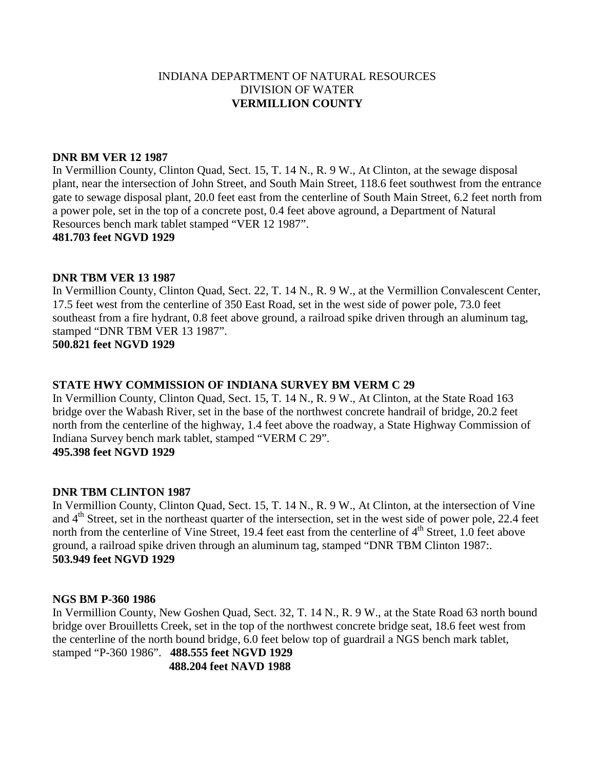#### **DNR BM VER 12 1987**

In Vermillion County, Clinton Quad, Sect. 15, T. 14 N., R. 9 W., At Clinton, at the sewage disposal plant, near the intersection of John Street, and South Main Street, 118.6 feet southwest from the entrance gate to sewage disposal plant, 20.0 feet east from the centerline of South Main Street, 6.2 feet north from a power pole, set in the top of a concrete post, 0.4 feet above aground, a Department of Natural Resources bench mark tablet stamped "VER 12 1987". **481.703 feet NGVD 1929**

#### **DNR TBM VER 13 1987**

In Vermillion County, Clinton Quad, Sect. 22, T. 14 N., R. 9 W., at the Vermillion Convalescent Center, 17.5 feet west from the centerline of 350 East Road, set in the west side of power pole, 73.0 feet southeast from a fire hydrant, 0.8 feet above ground, a railroad spike driven through an aluminum tag, stamped "DNR TBM VER 13 1987".

**500.821 feet NGVD 1929**

#### **STATE HWY COMMISSION OF INDIANA SURVEY BM VERM C 29**

In Vermillion County, Clinton Quad, Sect. 15, T. 14 N., R. 9 W., At Clinton, at the State Road 163 bridge over the Wabash River, set in the base of the northwest concrete handrail of bridge, 20.2 feet north from the centerline of the highway, 1.4 feet above the roadway, a State Highway Commission of Indiana Survey bench mark tablet, stamped "VERM C 29". **495.398 feet NGVD 1929**

#### **DNR TBM CLINTON 1987**

In Vermillion County, Clinton Quad, Sect. 15, T. 14 N., R. 9 W., At Clinton, at the intersection of Vine and 4<sup>th</sup> Street, set in the northeast quarter of the intersection, set in the west side of power pole, 22.4 feet north from the centerline of Vine Street, 19.4 feet east from the centerline of 4<sup>th</sup> Street, 1.0 feet above ground, a railroad spike driven through an aluminum tag, stamped "DNR TBM Clinton 1987:. **503.949 feet NGVD 1929**

#### **NGS BM P-360 1986**

In Vermillion County, New Goshen Quad, Sect. 32, T. 14 N., R. 9 W., at the State Road 63 north bound bridge over Brouilletts Creek, set in the top of the northwest concrete bridge seat, 18.6 feet west from the centerline of the north bound bridge, 6.0 feet below top of guardrail a NGS bench mark tablet, stamped "P-360 1986". **488.555 feet NGVD 1929**

 **488.204 feet NAVD 1988**